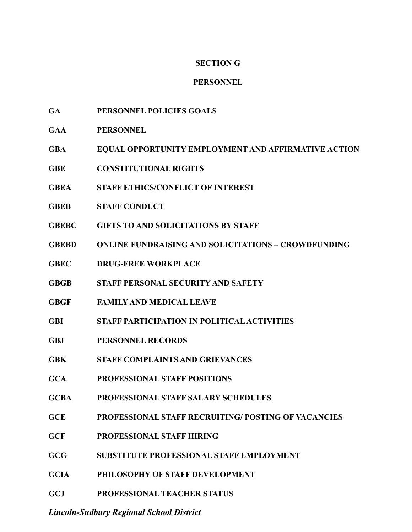# **SECTION G**

### **PERSONNEL**

- **GA PERSONNEL POLICIES GOALS**
- **GAA PERSONNEL**
- **GBA EQUAL OPPORTUNITY EMPLOYMENT AND AFFIRMATIVE ACTION**
- **GBE CONSTITUTIONAL RIGHTS**
- **GBEA STAFF ETHICS/CONFLICT OF INTEREST**
- **GBEB STAFF CONDUCT**
- **GBEBC GIFTS TO AND SOLICITATIONS BY STAFF**
- **GBEBD ONLINE FUNDRAISING AND SOLICITATIONS CROWDFUNDING**
- **GBEC DRUG-FREE WORKPLACE**
- **GBGB STAFF PERSONAL SECURITY AND SAFETY**
- **GBGF FAMILY AND MEDICAL LEAVE**
- **GBI STAFF PARTICIPATION IN POLITICAL ACTIVITIES**
- **GBJ PERSONNEL RECORDS**
- **GBK STAFF COMPLAINTS AND GRIEVANCES**
- **GCA PROFESSIONAL STAFF POSITIONS**
- **GCBA PROFESSIONAL STAFF SALARY SCHEDULES**
- **GCE PROFESSIONAL STAFF RECRUITING/ POSTING OF VACANCIES**
- **GCF PROFESSIONAL STAFF HIRING**
- **GCG SUBSTITUTE PROFESSIONAL STAFF EMPLOYMENT**
- **GCIA PHILOSOPHY OF STAFF DEVELOPMENT**
- **GCJ PROFESSIONAL TEACHER STATUS**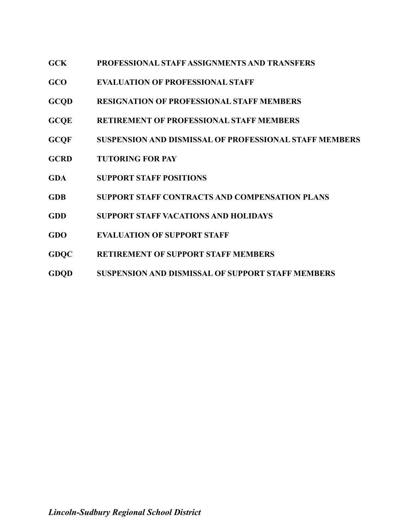- **GCK PROFESSIONAL STAFF ASSIGNMENTS AND TRANSFERS**
- **GCO EVALUATION OF PROFESSIONAL STAFF**
- **GCQD RESIGNATION OF PROFESSIONAL STAFF MEMBERS**
- **GCQE RETIREMENT OF PROFESSIONAL STAFF MEMBERS**
- **GCQF SUSPENSION AND DISMISSAL OF PROFESSIONAL STAFF MEMBERS**
- **GCRD TUTORING FOR PAY**
- **GDA SUPPORT STAFF POSITIONS**
- **GDB SUPPORT STAFF CONTRACTS AND COMPENSATION PLANS**
- **GDD SUPPORT STAFF VACATIONS AND HOLIDAYS**
- **GDO EVALUATION OF SUPPORT STAFF**
- **GDQC RETIREMENT OF SUPPORT STAFF MEMBERS**
- **GDQD SUSPENSION AND DISMISSAL OF SUPPORT STAFF MEMBERS**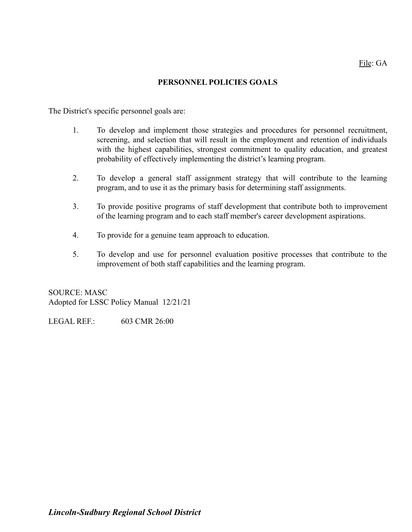### **PERSONNEL POLICIES GOALS**

The District's specific personnel goals are:

- 1. To develop and implement those strategies and procedures for personnel recruitment, screening, and selection that will result in the employment and retention of individuals with the highest capabilities, strongest commitment to quality education, and greatest probability of effectively implementing the district's learning program.
- 2. To develop a general staff assignment strategy that will contribute to the learning program, and to use it as the primary basis for determining staff assignments.
- 3. To provide positive programs of staff development that contribute both to improvement of the learning program and to each staff member's career development aspirations.
- 4. To provide for a genuine team approach to education.
- 5. To develop and use for personnel evaluation positive processes that contribute to the improvement of both staff capabilities and the learning program.

SOURCE: MASC Adopted for LSSC Policy Manual 12/21/21

LEGAL REF.: 603 CMR 26:00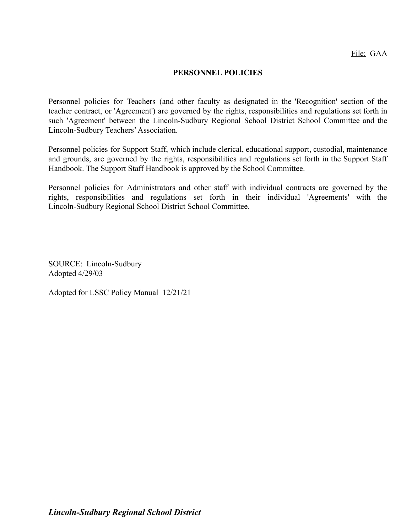#### **PERSONNEL POLICIES**

Personnel policies for Teachers (and other faculty as designated in the 'Recognition' section of the teacher contract, or 'Agreement') are governed by the rights, responsibilities and regulations set forth in such 'Agreement' between the Lincoln-Sudbury Regional School District School Committee and the Lincoln-Sudbury Teachers'Association.

Personnel policies for Support Staff, which include clerical, educational support, custodial, maintenance and grounds, are governed by the rights, responsibilities and regulations set forth in the Support Staff Handbook. The Support Staff Handbook is approved by the School Committee.

Personnel policies for Administrators and other staff with individual contracts are governed by the rights, responsibilities and regulations set forth in their individual 'Agreements' with the Lincoln-Sudbury Regional School District School Committee.

SOURCE: Lincoln-Sudbury Adopted 4/29/03

Adopted for LSSC Policy Manual 12/21/21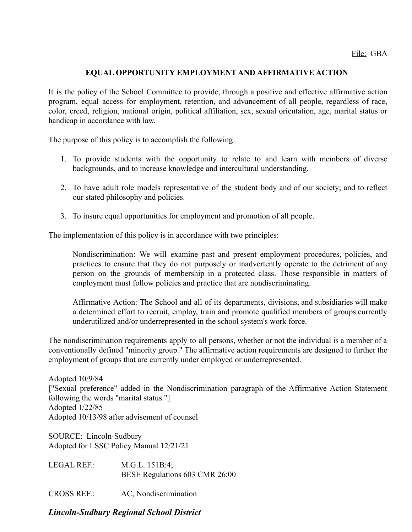### **EQUAL OPPORTUNITY EMPLOYMENT AND AFFIRMATIVE ACTION**

It is the policy of the School Committee to provide, through a positive and effective affirmative action program, equal access for employment, retention, and advancement of all people, regardless of race, color, creed, religion, national origin, political affiliation, sex, sexual orientation, age, marital status or handicap in accordance with law.

The purpose of this policy is to accomplish the following:

- 1. To provide students with the opportunity to relate to and learn with members of diverse backgrounds, and to increase knowledge and intercultural understanding.
- 2. To have adult role models representative of the student body and of our society; and to reflect our stated philosophy and policies.
- 3. To insure equal opportunities for employment and promotion of all people.

The implementation of this policy is in accordance with two principles:

Nondiscrimination: We will examine past and present employment procedures, policies, and practices to ensure that they do not purposely or inadvertently operate to the detriment of any person on the grounds of membership in a protected class. Those responsible in matters of employment must follow policies and practice that are nondiscriminating.

Affirmative Action: The School and all of its departments, divisions, and subsidiaries will make a determined effort to recruit, employ, train and promote qualified members of groups currently underutilized and/or underrepresented in the school system's work force.

The nondiscrimination requirements apply to all persons, whether or not the individual is a member of a conventionally defined "minority group." The affirmative action requirements are designed to further the employment of groups that are currently under employed or underrepresented.

Adopted 10/9/84 ["Sexual preference" added in the Nondiscrimination paragraph of the Affirmative Action Statement following the words "marital status."] Adopted 1/22/85 Adopted 10/13/98 after advisement of counsel

SOURCE: Lincoln-Sudbury Adopted for LSSC Policy Manual 12/21/21

LEGAL REF.: M.G.L. 151B:4; BESE Regulations 603 CMR 26:00

CROSS REF.: AC, Nondiscrimination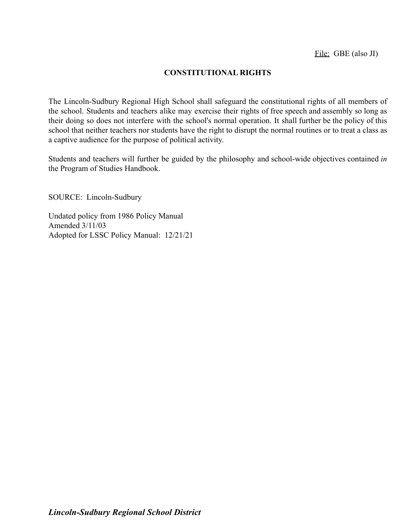# **CONSTITUTIONAL RIGHTS**

The Lincoln-Sudbury Regional High School shall safeguard the constitutional rights of all members of the school. Students and teachers alike may exercise their rights of free speech and assembly so long as their doing so does not interfere with the school's normal operation. It shall further be the policy of this school that neither teachers nor students have the right to disrupt the normal routines or to treat a class as a captive audience for the purpose of political activity.

Students and teachers will further be guided by the philosophy and school-wide objectives contained *in* the Program of Studies Handbook.

SOURCE: Lincoln-Sudbury

Undated policy from 1986 Policy Manual Amended 3/11/03 Adopted for LSSC Policy Manual: 12/21/21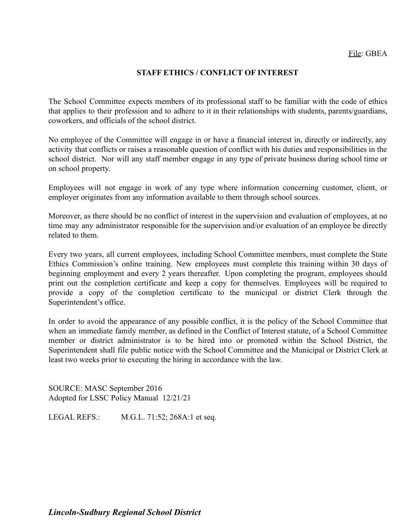### **STAFF ETHICS / CONFLICT OF INTEREST**

The School Committee expects members of its professional staff to be familiar with the code of ethics that applies to their profession and to adhere to it in their relationships with students, parents/guardians, coworkers, and officials of the school district.

No employee of the Committee will engage in or have a financial interest in, directly or indirectly, any activity that conflicts or raises a reasonable question of conflict with his duties and responsibilities in the school district. Nor will any staff member engage in any type of private business during school time or on school property.

Employees will not engage in work of any type where information concerning customer, client, or employer originates from any information available to them through school sources.

Moreover, as there should be no conflict of interest in the supervision and evaluation of employees, at no time may any administrator responsible for the supervision and/or evaluation of an employee be directly related to them.

Every two years, all current employees, including School Committee members, must complete the State Ethics Commission's online training. New employees must complete this training within 30 days of beginning employment and every 2 years thereafter. Upon completing the program, employees should print out the completion certificate and keep a copy for themselves. Employees will be required to provide a copy of the completion certificate to the municipal or district Clerk through the Superintendent's office.

In order to avoid the appearance of any possible conflict, it is the policy of the School Committee that when an immediate family member, as defined in the Conflict of Interest statute, of a School Committee member or district administrator is to be hired into or promoted within the School District, the Superintendent shall file public notice with the School Committee and the Municipal or District Clerk at least two weeks prior to executing the hiring in accordance with the law.

SOURCE: MASC September 2016 Adopted for LSSC Policy Manual 12/21/21

LEGAL REFS.: M.G.L. 71:52; 268A:1 et seq.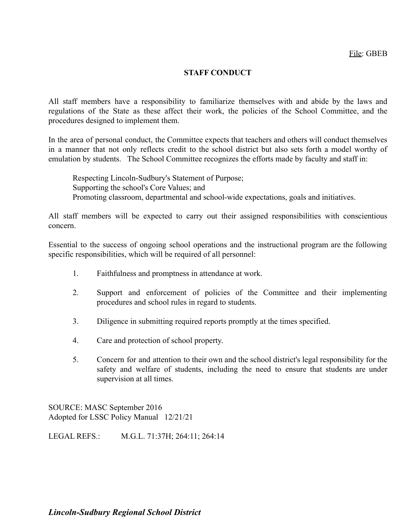## **STAFF CONDUCT**

All staff members have a responsibility to familiarize themselves with and abide by the laws and regulations of the State as these affect their work, the policies of the School Committee, and the procedures designed to implement them.

In the area of personal conduct, the Committee expects that teachers and others will conduct themselves in a manner that not only reflects credit to the school district but also sets forth a model worthy of emulation by students. The School Committee recognizes the efforts made by faculty and staff in:

Respecting Lincoln-Sudbury's Statement of Purpose; Supporting the school's Core Values; and Promoting classroom, departmental and school-wide expectations, goals and initiatives.

All staff members will be expected to carry out their assigned responsibilities with conscientious concern.

Essential to the success of ongoing school operations and the instructional program are the following specific responsibilities, which will be required of all personnel:

- 1. Faithfulness and promptness in attendance at work.
- 2. Support and enforcement of policies of the Committee and their implementing procedures and school rules in regard to students.
- 3. Diligence in submitting required reports promptly at the times specified.
- 4. Care and protection of school property.
- 5. Concern for and attention to their own and the school district's legal responsibility for the safety and welfare of students, including the need to ensure that students are under supervision at all times.

SOURCE: MASC September 2016 Adopted for LSSC Policy Manual 12/21/21

LEGAL REFS.: M.G.L. 71:37H; 264:11; 264:14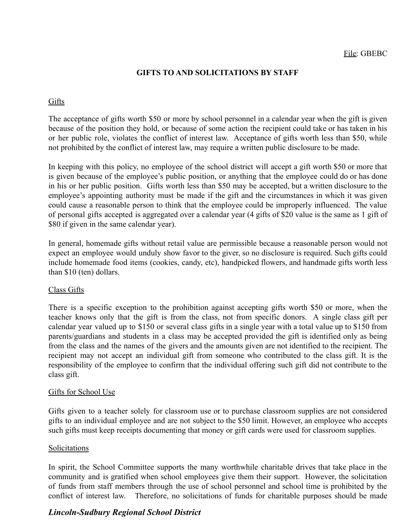# **GIFTS TO AND SOLICITATIONS BY STAFF**

# Gifts

The acceptance of gifts worth \$50 or more by school personnel in a calendar year when the gift is given because of the position they hold, or because of some action the recipient could take or has taken in his or her public role, violates the conflict of interest law. Acceptance of gifts worth less than \$50, while not prohibited by the conflict of interest law, may require a written public disclosure to be made.

In keeping with this policy, no employee of the school district will accept a gift worth \$50 or more that is given because of the employee's public position, or anything that the employee could do or has done in his or her public position. Gifts worth less than \$50 may be accepted, but a written disclosure to the employee's appointing authority must be made if the gift and the circumstances in which it was given could cause a reasonable person to think that the employee could be improperly influenced. The value of personal gifts accepted is aggregated over a calendar year (4 gifts of \$20 value is the same as 1 gift of \$80 if given in the same calendar year).

In general, homemade gifts without retail value are permissible because a reasonable person would not expect an employee would unduly show favor to the giver, so no disclosure is required. Such gifts could include homemade food items (cookies, candy, etc), handpicked flowers, and handmade gifts worth less than \$10 (ten) dollars.

## Class Gifts

There is a specific exception to the prohibition against accepting gifts worth \$50 or more, when the teacher knows only that the gift is from the class, not from specific donors. A single class gift per calendar year valued up to \$150 or several class gifts in a single year with a total value up to \$150 from parents/guardians and students in a class may be accepted provided the gift is identified only as being from the class and the names of the givers and the amounts given are not identified to the recipient. The recipient may not accept an individual gift from someone who contributed to the class gift. It is the responsibility of the employee to confirm that the individual offering such gift did not contribute to the class gift.

#### Gifts for School Use

Gifts given to a teacher solely for classroom use or to purchase classroom supplies are not considered gifts to an individual employee and are not subject to the \$50 limit. However, an employee who accepts such gifts must keep receipts documenting that money or gift cards were used for classroom supplies.

#### Solicitations

In spirit, the School Committee supports the many worthwhile charitable drives that take place in the community and is gratified when school employees give them their support. However, the solicitation of funds from staff members through the use of school personnel and school time is prohibited by the conflict of interest law. Therefore, no solicitations of funds for charitable purposes should be made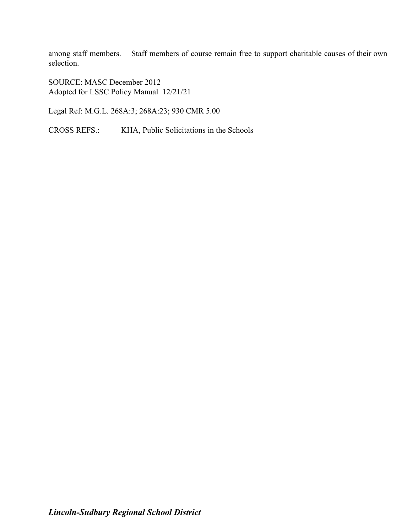among staff members. Staff members of course remain free to support charitable causes of their own selection.

SOURCE: MASC December 2012 Adopted for LSSC Policy Manual 12/21/21

Legal Ref: M.G.L. 268A:3; 268A:23; 930 CMR 5.00

CROSS REFS.: KHA, Public Solicitations in the Schools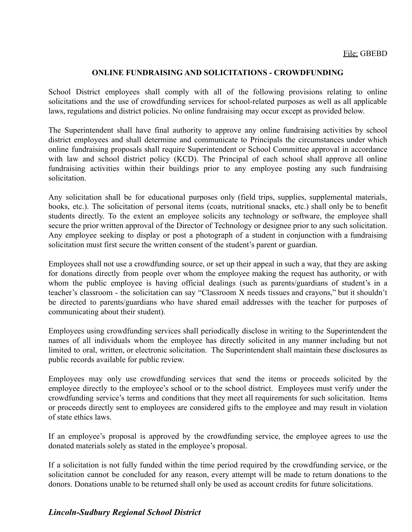### **ONLINE FUNDRAISING AND SOLICITATIONS - CROWDFUNDING**

School District employees shall comply with all of the following provisions relating to online solicitations and the use of crowdfunding services for school-related purposes as well as all applicable laws, regulations and district policies. No online fundraising may occur except as provided below.

The Superintendent shall have final authority to approve any online fundraising activities by school district employees and shall determine and communicate to Principals the circumstances under which online fundraising proposals shall require Superintendent or School Committee approval in accordance with law and school district policy (KCD). The Principal of each school shall approve all online fundraising activities within their buildings prior to any employee posting any such fundraising solicitation.

Any solicitation shall be for educational purposes only (field trips, supplies, supplemental materials, books, etc.). The solicitation of personal items (coats, nutritional snacks, etc.) shall only be to benefit students directly. To the extent an employee solicits any technology or software, the employee shall secure the prior written approval of the Director of Technology or designee prior to any such solicitation. Any employee seeking to display or post a photograph of a student in conjunction with a fundraising solicitation must first secure the written consent of the student's parent or guardian.

Employees shall not use a crowdfunding source, or set up their appeal in such a way, that they are asking for donations directly from people over whom the employee making the request has authority, or with whom the public employee is having official dealings (such as parents/guardians of student's in a teacher's classroom - the solicitation can say "Classroom X needs tissues and crayons," but it shouldn't be directed to parents/guardians who have shared email addresses with the teacher for purposes of communicating about their student).

Employees using crowdfunding services shall periodically disclose in writing to the Superintendent the names of all individuals whom the employee has directly solicited in any manner including but not limited to oral, written, or electronic solicitation. The Superintendent shall maintain these disclosures as public records available for public review.

Employees may only use crowdfunding services that send the items or proceeds solicited by the employee directly to the employee's school or to the school district. Employees must verify under the crowdfunding service's terms and conditions that they meet all requirements for such solicitation. Items or proceeds directly sent to employees are considered gifts to the employee and may result in violation of state ethics laws.

If an employee's proposal is approved by the crowdfunding service, the employee agrees to use the donated materials solely as stated in the employee's proposal.

If a solicitation is not fully funded within the time period required by the crowdfunding service, or the solicitation cannot be concluded for any reason, every attempt will be made to return donations to the donors. Donations unable to be returned shall only be used as account credits for future solicitations.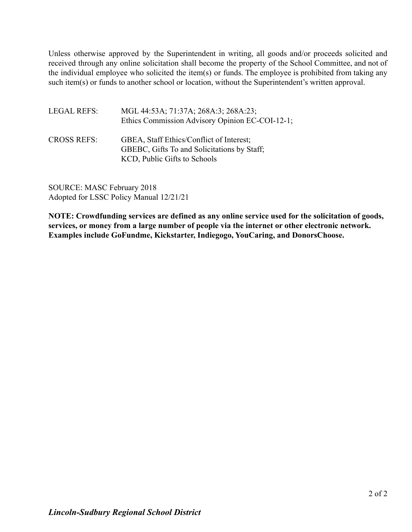Unless otherwise approved by the Superintendent in writing, all goods and/or proceeds solicited and received through any online solicitation shall become the property of the School Committee, and not of the individual employee who solicited the item(s) or funds. The employee is prohibited from taking any such item(s) or funds to another school or location, without the Superintendent's written approval.

| <b>LEGAL REFS:</b> | MGL 44:53A; 71:37A; 268A:3; 268A:23;<br>Ethics Commission Advisory Opinion EC-COI-12-1;                                 |
|--------------------|-------------------------------------------------------------------------------------------------------------------------|
| <b>CROSS REFS:</b> | GBEA, Staff Ethics/Conflict of Interest;<br>GBEBC, Gifts To and Solicitations by Staff;<br>KCD, Public Gifts to Schools |

SOURCE: MASC February 2018 Adopted for LSSC Policy Manual 12/21/21

**NOTE: Crowdfunding services are defined as any online service used for the solicitation of goods, services, or money from a large number of people via the internet or other electronic network. Examples include GoFundme, Kickstarter, Indiegogo, YouCaring, and DonorsChoose.**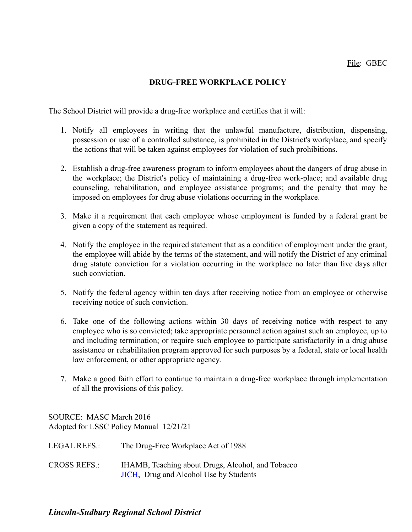# **DRUG-FREE WORKPLACE POLICY**

The School District will provide a drug-free workplace and certifies that it will:

- 1. Notify all employees in writing that the unlawful manufacture, distribution, dispensing, possession or use of a controlled substance, is prohibited in the District's workplace, and specify the actions that will be taken against employees for violation of such prohibitions.
- 2. Establish a drug-free awareness program to inform employees about the dangers of drug abuse in the workplace; the District's policy of maintaining a drug-free work-place; and available drug counseling, rehabilitation, and employee assistance programs; and the penalty that may be imposed on employees for drug abuse violations occurring in the workplace.
- 3. Make it a requirement that each employee whose employment is funded by a federal grant be given a copy of the statement as required.
- 4. Notify the employee in the required statement that as a condition of employment under the grant, the employee will abide by the terms of the statement, and will notify the District of any criminal drug statute conviction for a violation occurring in the workplace no later than five days after such conviction.
- 5. Notify the federal agency within ten days after receiving notice from an employee or otherwise receiving notice of such conviction.
- 6. Take one of the following actions within 30 days of receiving notice with respect to any employee who is so convicted; take appropriate personnel action against such an employee, up to and including termination; or require such employee to participate satisfactorily in a drug abuse assistance or rehabilitation program approved for such purposes by a federal, state or local health law enforcement, or other appropriate agency.
- 7. Make a good faith effort to continue to maintain a drug-free workplace through implementation of all the provisions of this policy.

SOURCE: MASC March 2016 Adopted for LSSC Policy Manual 12/21/21

| <b>LEGAL REFS.:</b> | The Drug-Free Workplace Act of 1988 |
|---------------------|-------------------------------------|
|                     |                                     |

CROSS REFS.: IHAMB, Teaching about Drugs, Alcohol, and Tobacco [JICH](http://z2policy.ctspublish.com/masc/DocViewer.jsp?docid=232&z2collection=master#JD_JICH), Drug and Alcohol Use by Students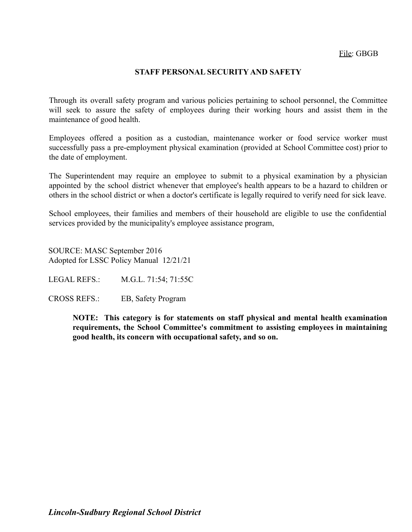## **STAFF PERSONAL SECURITY AND SAFETY**

Through its overall safety program and various policies pertaining to school personnel, the Committee will seek to assure the safety of employees during their working hours and assist them in the maintenance of good health.

Employees offered a position as a custodian, maintenance worker or food service worker must successfully pass a pre-employment physical examination (provided at School Committee cost) prior to the date of employment.

The Superintendent may require an employee to submit to a physical examination by a physician appointed by the school district whenever that employee's health appears to be a hazard to children or others in the school district or when a doctor's certificate is legally required to verify need for sick leave.

School employees, their families and members of their household are eligible to use the confidential services provided by the municipality's employee assistance program,

SOURCE: MASC September 2016 Adopted for LSSC Policy Manual 12/21/21

LEGAL REFS.: M.G.L. 71:54; 71:55C

CROSS REFS.: EB, Safety Program

**NOTE: This category is for statements on staff physical and mental health examination requirements, the School Committee's commitment to assisting employees in maintaining good health, its concern with occupational safety, and so on.**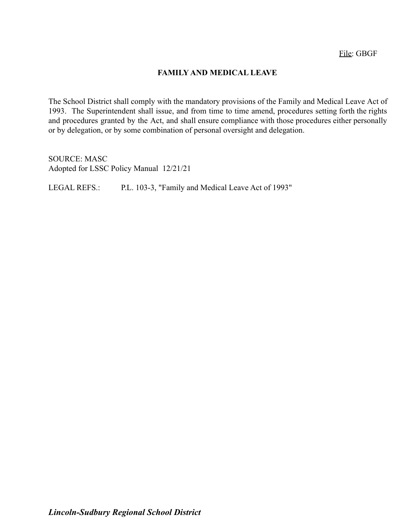## **FAMILY AND MEDICAL LEAVE**

The School District shall comply with the mandatory provisions of the Family and Medical Leave Act of 1993. The Superintendent shall issue, and from time to time amend, procedures setting forth the rights and procedures granted by the Act, and shall ensure compliance with those procedures either personally or by delegation, or by some combination of personal oversight and delegation.

SOURCE: MASC Adopted for LSSC Policy Manual 12/21/21

LEGAL REFS.: P.L. 103-3, "Family and Medical Leave Act of 1993"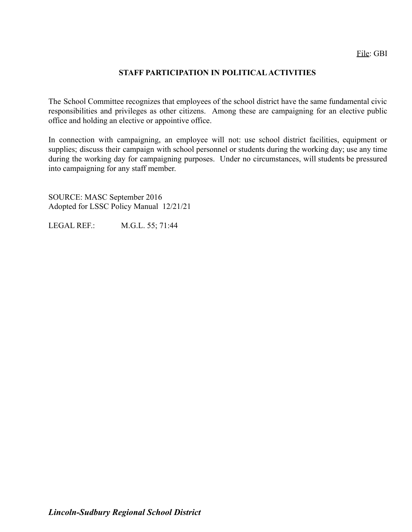## **STAFF PARTICIPATION IN POLITICAL ACTIVITIES**

The School Committee recognizes that employees of the school district have the same fundamental civic responsibilities and privileges as other citizens. Among these are campaigning for an elective public office and holding an elective or appointive office.

In connection with campaigning, an employee will not: use school district facilities, equipment or supplies; discuss their campaign with school personnel or students during the working day; use any time during the working day for campaigning purposes. Under no circumstances, will students be pressured into campaigning for any staff member.

SOURCE: MASC September 2016 Adopted for LSSC Policy Manual 12/21/21

LEGAL REF.: M.G.L. 55; 71:44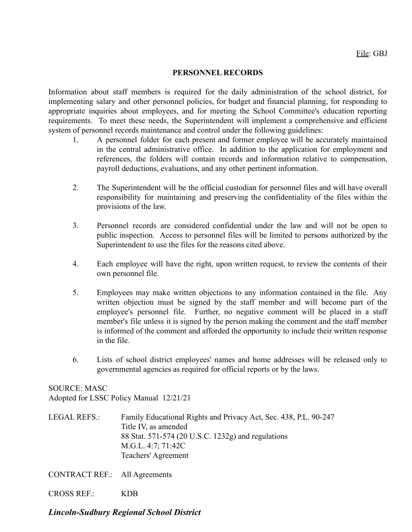#### **PERSONNEL RECORDS**

Information about staff members is required for the daily administration of the school district, for implementing salary and other personnel policies, for budget and financial planning, for responding to appropriate inquiries about employees, and for meeting the School Committee's education reporting requirements. To meet these needs, the Superintendent will implement a comprehensive and efficient system of personnel records maintenance and control under the following guidelines:

- 1. A personnel folder for each present and former employee will be accurately maintained in the central administrative office. In addition to the application for employment and references, the folders will contain records and information relative to compensation, payroll deductions, evaluations, and any other pertinent information.
- 2. The Superintendent will be the official custodian for personnel files and will have overall responsibility for maintaining and preserving the confidentiality of the files within the provisions of the law.
- 3. Personnel records are considered confidential under the law and will not be open to public inspection. Access to personnel files will be limited to persons authorized by the Superintendent to use the files for the reasons cited above.
- 4. Each employee will have the right, upon written request, to review the contents of their own personnel file.
- 5. Employees may make written objections to any information contained in the file. Any written objection must be signed by the staff member and will become part of the employee's personnel file. Further, no negative comment will be placed in a staff member's file unless it is signed by the person making the comment and the staff member is informed of the comment and afforded the opportunity to include their written response in the file.
- 6. Lists of school district employees' names and home addresses will be released only to governmental agencies as required for official reports or by the laws.

SOURCE: MASC Adopted for LSSC Policy Manual 12/21/21

LEGAL REFS.: Family Educational Rights and Privacy Act, Sec. 438, P.L. 90-247 Title IV, as amended 88 Stat. 571-574 (20 U.S.C. 1232g) and regulations M.G.L. 4:7; 71:42C Teachers' Agreement

CONTRACT REF.: All Agreements

CROSS REF.: KDB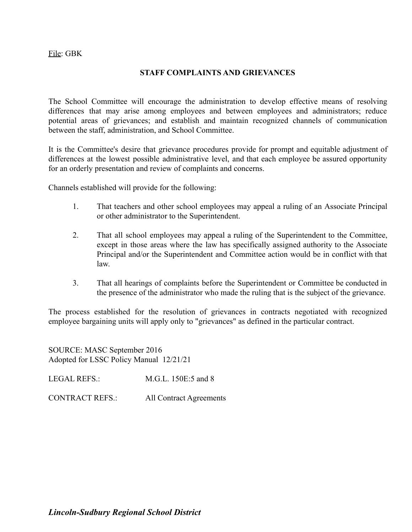### **STAFF COMPLAINTS AND GRIEVANCES**

The School Committee will encourage the administration to develop effective means of resolving differences that may arise among employees and between employees and administrators; reduce potential areas of grievances; and establish and maintain recognized channels of communication between the staff, administration, and School Committee.

It is the Committee's desire that grievance procedures provide for prompt and equitable adjustment of differences at the lowest possible administrative level, and that each employee be assured opportunity for an orderly presentation and review of complaints and concerns.

Channels established will provide for the following:

- 1. That teachers and other school employees may appeal a ruling of an Associate Principal or other administrator to the Superintendent.
- 2. That all school employees may appeal a ruling of the Superintendent to the Committee, except in those areas where the law has specifically assigned authority to the Associate Principal and/or the Superintendent and Committee action would be in conflict with that law.
- 3. That all hearings of complaints before the Superintendent or Committee be conducted in the presence of the administrator who made the ruling that is the subject of the grievance.

The process established for the resolution of grievances in contracts negotiated with recognized employee bargaining units will apply only to "grievances" as defined in the particular contract.

SOURCE: MASC September 2016 Adopted for LSSC Policy Manual 12/21/21

LEGAL REFS<sup>.</sup> M.G.L. 150E:5 and 8

CONTRACT REFS.: All Contract Agreements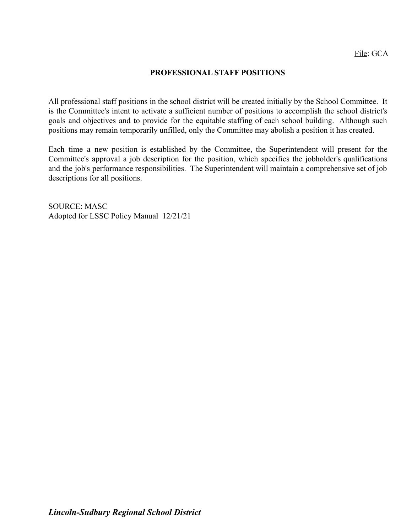### **PROFESSIONAL STAFF POSITIONS**

All professional staff positions in the school district will be created initially by the School Committee. It is the Committee's intent to activate a sufficient number of positions to accomplish the school district's goals and objectives and to provide for the equitable staffing of each school building. Although such positions may remain temporarily unfilled, only the Committee may abolish a position it has created.

Each time a new position is established by the Committee, the Superintendent will present for the Committee's approval a job description for the position, which specifies the jobholder's qualifications and the job's performance responsibilities. The Superintendent will maintain a comprehensive set of job descriptions for all positions.

SOURCE: MASC Adopted for LSSC Policy Manual 12/21/21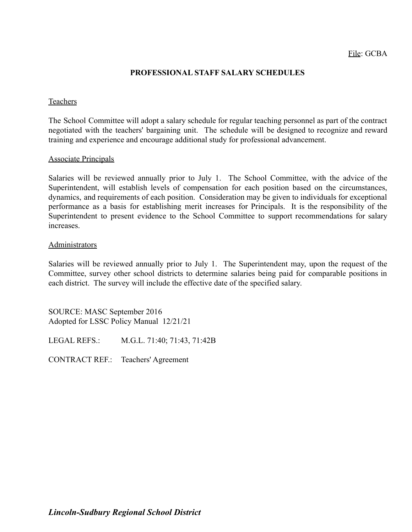### **PROFESSIONAL STAFF SALARY SCHEDULES**

#### Teachers

The School Committee will adopt a salary schedule for regular teaching personnel as part of the contract negotiated with the teachers' bargaining unit. The schedule will be designed to recognize and reward training and experience and encourage additional study for professional advancement.

#### Associate Principals

Salaries will be reviewed annually prior to July 1. The School Committee, with the advice of the Superintendent, will establish levels of compensation for each position based on the circumstances, dynamics, and requirements of each position. Consideration may be given to individuals for exceptional performance as a basis for establishing merit increases for Principals. It is the responsibility of the Superintendent to present evidence to the School Committee to support recommendations for salary increases.

#### Administrators

Salaries will be reviewed annually prior to July 1. The Superintendent may, upon the request of the Committee, survey other school districts to determine salaries being paid for comparable positions in each district. The survey will include the effective date of the specified salary.

SOURCE: MASC September 2016 Adopted for LSSC Policy Manual 12/21/21

LEGAL REFS.: M.G.L. 71:40; 71:43, 71:42B

CONTRACT REF.: Teachers' Agreement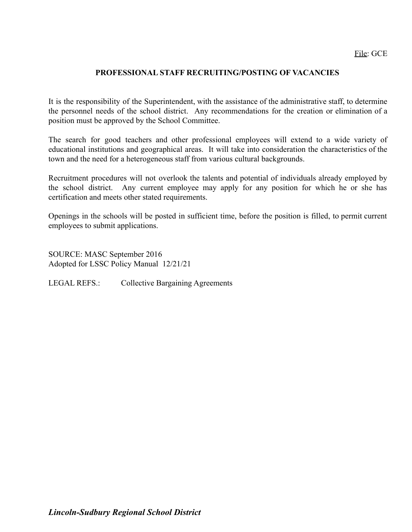## **PROFESSIONAL STAFF RECRUITING/POSTING OF VACANCIES**

It is the responsibility of the Superintendent, with the assistance of the administrative staff, to determine the personnel needs of the school district. Any recommendations for the creation or elimination of a position must be approved by the School Committee.

The search for good teachers and other professional employees will extend to a wide variety of educational institutions and geographical areas. It will take into consideration the characteristics of the town and the need for a heterogeneous staff from various cultural backgrounds.

Recruitment procedures will not overlook the talents and potential of individuals already employed by the school district. Any current employee may apply for any position for which he or she has certification and meets other stated requirements.

Openings in the schools will be posted in sufficient time, before the position is filled, to permit current employees to submit applications.

SOURCE: MASC September 2016 Adopted for LSSC Policy Manual 12/21/21

LEGAL REFS.: Collective Bargaining Agreements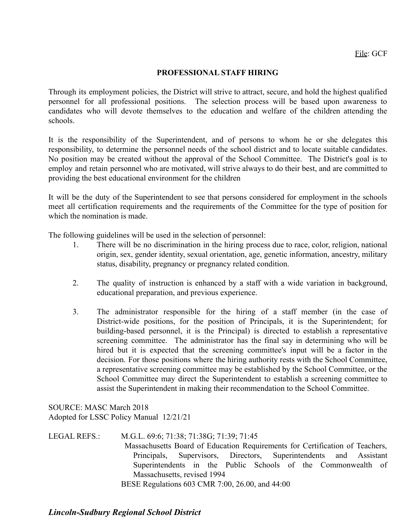### **PROFESSIONAL STAFF HIRING**

Through its employment policies, the District will strive to attract, secure, and hold the highest qualified personnel for all professional positions. The selection process will be based upon awareness to candidates who will devote themselves to the education and welfare of the children attending the schools.

It is the responsibility of the Superintendent, and of persons to whom he or she delegates this responsibility, to determine the personnel needs of the school district and to locate suitable candidates. No position may be created without the approval of the School Committee. The District's goal is to employ and retain personnel who are motivated, will strive always to do their best, and are committed to providing the best educational environment for the children

It will be the duty of the Superintendent to see that persons considered for employment in the schools meet all certification requirements and the requirements of the Committee for the type of position for which the nomination is made.

The following guidelines will be used in the selection of personnel:

- 1. There will be no discrimination in the hiring process due to race, color, religion, national origin, sex, gender identity, sexual orientation, age, genetic information, ancestry, military status, disability, pregnancy or pregnancy related condition.
- 2. The quality of instruction is enhanced by a staff with a wide variation in background, educational preparation, and previous experience.
- 3. The administrator responsible for the hiring of a staff member (in the case of District-wide positions, for the position of Principals, it is the Superintendent; for building-based personnel, it is the Principal) is directed to establish a representative screening committee. The administrator has the final say in determining who will be hired but it is expected that the screening committee's input will be a factor in the decision. For those positions where the hiring authority rests with the School Committee, a representative screening committee may be established by the School Committee, or the School Committee may direct the Superintendent to establish a screening committee to assist the Superintendent in making their recommendation to the School Committee.

SOURCE: MASC March 2018 Adopted for LSSC Policy Manual 12/21/21

LEGAL REFS.: M.G.L. 69:6; 71:38; 71:38G; 71:39; 71:45 Massachusetts Board of Education Requirements for Certification of Teachers, Principals, Supervisors, Directors, Superintendents and Assistant Superintendents in the Public Schools of the Commonwealth of Massachusetts, revised 1994 BESE Regulations 603 CMR 7:00, 26.00, and 44:00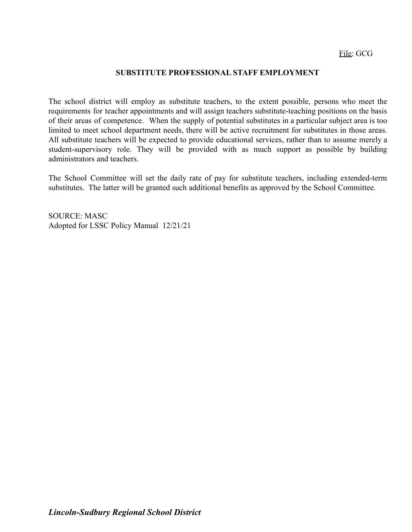#### **SUBSTITUTE PROFESSIONAL STAFF EMPLOYMENT**

The school district will employ as substitute teachers, to the extent possible, persons who meet the requirements for teacher appointments and will assign teachers substitute-teaching positions on the basis of their areas of competence. When the supply of potential substitutes in a particular subject area is too limited to meet school department needs, there will be active recruitment for substitutes in those areas. All substitute teachers will be expected to provide educational services, rather than to assume merely a student-supervisory role. They will be provided with as much support as possible by building administrators and teachers.

The School Committee will set the daily rate of pay for substitute teachers, including extended-term substitutes. The latter will be granted such additional benefits as approved by the School Committee.

SOURCE: MASC Adopted for LSSC Policy Manual 12/21/21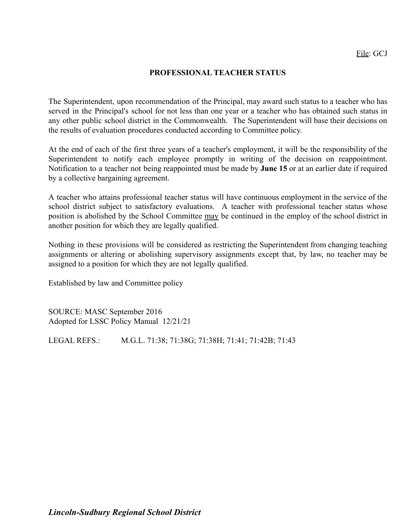### **PROFESSIONAL TEACHER STATUS**

The Superintendent, upon recommendation of the Principal, may award such status to a teacher who has served in the Principal's school for not less than one year or a teacher who has obtained such status in any other public school district in the Commonwealth. The Superintendent will base their decisions on the results of evaluation procedures conducted according to Committee policy.

At the end of each of the first three years of a teacher's employment, it will be the responsibility of the Superintendent to notify each employee promptly in writing of the decision on reappointment. Notification to a teacher not being reappointed must be made by **June 15** or at an earlier date if required by a collective bargaining agreement.

A teacher who attains professional teacher status will have continuous employment in the service of the school district subject to satisfactory evaluations. A teacher with professional teacher status whose position is abolished by the School Committee may be continued in the employ of the school district in another position for which they are legally qualified.

Nothing in these provisions will be considered as restricting the Superintendent from changing teaching assignments or altering or abolishing supervisory assignments except that, by law, no teacher may be assigned to a position for which they are not legally qualified.

Established by law and Committee policy

SOURCE: MASC September 2016 Adopted for LSSC Policy Manual 12/21/21

LEGAL REFS.: M.G.L. 71:38; 71:38G; 71:38H; 71:41; 71:42B; 71:43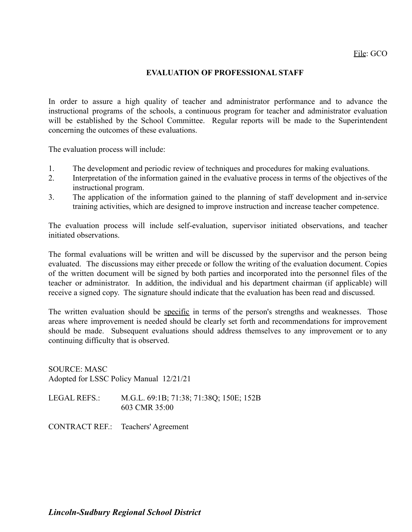#### **EVALUATION OF PROFESSIONAL STAFF**

In order to assure a high quality of teacher and administrator performance and to advance the instructional programs of the schools, a continuous program for teacher and administrator evaluation will be established by the School Committee. Regular reports will be made to the Superintendent concerning the outcomes of these evaluations.

The evaluation process will include:

- 1. The development and periodic review of techniques and procedures for making evaluations.
- 2. Interpretation of the information gained in the evaluative process in terms of the objectives of the instructional program.
- 3. The application of the information gained to the planning of staff development and in-service training activities, which are designed to improve instruction and increase teacher competence.

The evaluation process will include self-evaluation, supervisor initiated observations, and teacher initiated observations.

The formal evaluations will be written and will be discussed by the supervisor and the person being evaluated. The discussions may either precede or follow the writing of the evaluation document. Copies of the written document will be signed by both parties and incorporated into the personnel files of the teacher or administrator. In addition, the individual and his department chairman (if applicable) will receive a signed copy. The signature should indicate that the evaluation has been read and discussed.

The written evaluation should be specific in terms of the person's strengths and weaknesses. Those areas where improvement is needed should be clearly set forth and recommendations for improvement should be made. Subsequent evaluations should address themselves to any improvement or to any continuing difficulty that is observed.

SOURCE: MASC Adopted for LSSC Policy Manual 12/21/21

LEGAL REFS.: M.G.L. 69:1B; 71:38; 71:38Q; 150E; 152B 603 CMR 35:00

CONTRACT REF.: Teachers' Agreement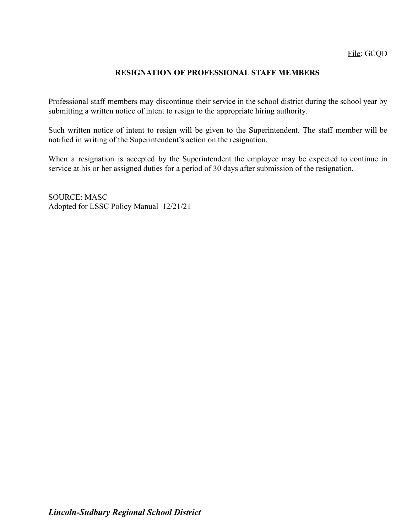### **RESIGNATION OF PROFESSIONAL STAFF MEMBERS**

Professional staff members may discontinue their service in the school district during the school year by submitting a written notice of intent to resign to the appropriate hiring authority.

Such written notice of intent to resign will be given to the Superintendent. The staff member will be notified in writing of the Superintendent's action on the resignation.

When a resignation is accepted by the Superintendent the employee may be expected to continue in service at his or her assigned duties for a period of 30 days after submission of the resignation.

SOURCE: MASC Adopted for LSSC Policy Manual 12/21/21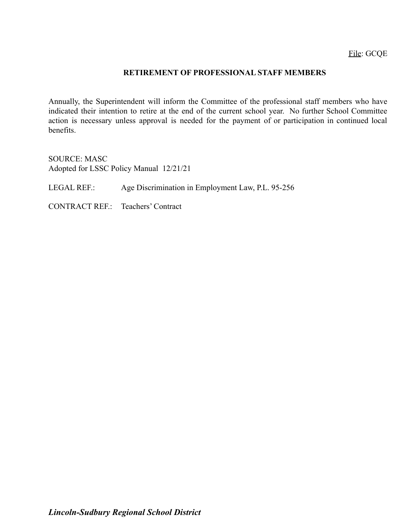#### **RETIREMENT OF PROFESSIONAL STAFF MEMBERS**

Annually, the Superintendent will inform the Committee of the professional staff members who have indicated their intention to retire at the end of the current school year. No further School Committee action is necessary unless approval is needed for the payment of or participation in continued local benefits.

SOURCE: MASC Adopted for LSSC Policy Manual 12/21/21

LEGAL REF.: Age Discrimination in Employment Law, P.L. 95-256

CONTRACT REF.: Teachers' Contract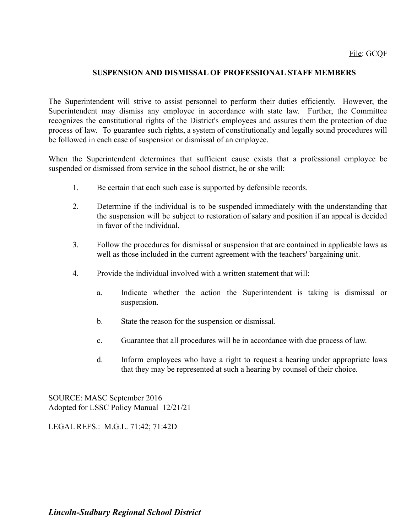### **SUSPENSION AND DISMISSAL OF PROFESSIONAL STAFF MEMBERS**

The Superintendent will strive to assist personnel to perform their duties efficiently. However, the Superintendent may dismiss any employee in accordance with state law. Further, the Committee recognizes the constitutional rights of the District's employees and assures them the protection of due process of law. To guarantee such rights, a system of constitutionally and legally sound procedures will be followed in each case of suspension or dismissal of an employee.

When the Superintendent determines that sufficient cause exists that a professional employee be suspended or dismissed from service in the school district, he or she will:

- 1. Be certain that each such case is supported by defensible records.
- 2. Determine if the individual is to be suspended immediately with the understanding that the suspension will be subject to restoration of salary and position if an appeal is decided in favor of the individual.
- 3. Follow the procedures for dismissal or suspension that are contained in applicable laws as well as those included in the current agreement with the teachers' bargaining unit.
- 4. Provide the individual involved with a written statement that will:
	- a. Indicate whether the action the Superintendent is taking is dismissal or suspension.
	- b. State the reason for the suspension or dismissal.
	- c. Guarantee that all procedures will be in accordance with due process of law.
	- d. Inform employees who have a right to request a hearing under appropriate laws that they may be represented at such a hearing by counsel of their choice.

SOURCE: MASC September 2016 Adopted for LSSC Policy Manual 12/21/21

LEGAL REFS.: M.G.L. 71:42; 71:42D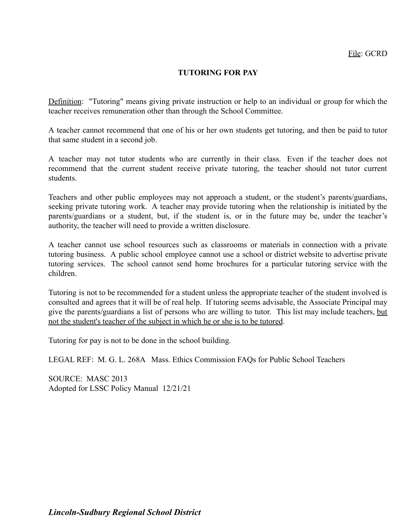## **TUTORING FOR PAY**

Definition: "Tutoring" means giving private instruction or help to an individual or group for which the teacher receives remuneration other than through the School Committee.

A teacher cannot recommend that one of his or her own students get tutoring, and then be paid to tutor that same student in a second job.

A teacher may not tutor students who are currently in their class. Even if the teacher does not recommend that the current student receive private tutoring, the teacher should not tutor current students.

Teachers and other public employees may not approach a student, or the student's parents/guardians, seeking private tutoring work. A teacher may provide tutoring when the relationship is initiated by the parents/guardians or a student, but, if the student is, or in the future may be, under the teacher's authority, the teacher will need to provide a written disclosure.

A teacher cannot use school resources such as classrooms or materials in connection with a private tutoring business. A public school employee cannot use a school or district website to advertise private tutoring services. The school cannot send home brochures for a particular tutoring service with the children.

Tutoring is not to be recommended for a student unless the appropriate teacher of the student involved is consulted and agrees that it will be of real help. If tutoring seems advisable, the Associate Principal may give the parents/guardians a list of persons who are willing to tutor. This list may include teachers, but not the student's teacher of the subject in which he or she is to be tutored.

Tutoring for pay is not to be done in the school building.

LEGAL REF: M. G. L. 268A Mass. Ethics Commission FAQs for Public School Teachers

SOURCE: MASC 2013 Adopted for LSSC Policy Manual 12/21/21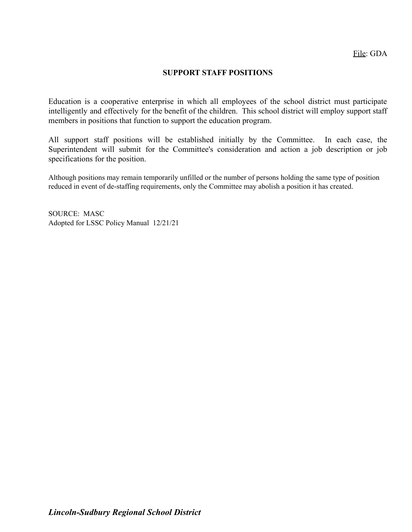### **SUPPORT STAFF POSITIONS**

Education is a cooperative enterprise in which all employees of the school district must participate intelligently and effectively for the benefit of the children. This school district will employ support staff members in positions that function to support the education program.

All support staff positions will be established initially by the Committee. In each case, the Superintendent will submit for the Committee's consideration and action a job description or job specifications for the position.

Although positions may remain temporarily unfilled or the number of persons holding the same type of position reduced in event of de-staffing requirements, only the Committee may abolish a position it has created.

SOURCE: MASC Adopted for LSSC Policy Manual 12/21/21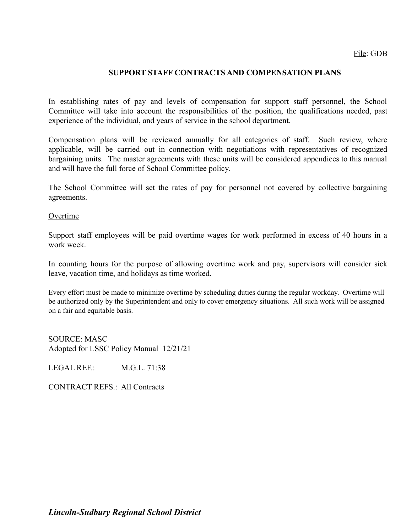### **SUPPORT STAFF CONTRACTS AND COMPENSATION PLANS**

In establishing rates of pay and levels of compensation for support staff personnel, the School Committee will take into account the responsibilities of the position, the qualifications needed, past experience of the individual, and years of service in the school department.

Compensation plans will be reviewed annually for all categories of staff. Such review, where applicable, will be carried out in connection with negotiations with representatives of recognized bargaining units. The master agreements with these units will be considered appendices to this manual and will have the full force of School Committee policy.

The School Committee will set the rates of pay for personnel not covered by collective bargaining agreements.

#### Overtime

Support staff employees will be paid overtime wages for work performed in excess of 40 hours in a work week.

In counting hours for the purpose of allowing overtime work and pay, supervisors will consider sick leave, vacation time, and holidays as time worked.

Every effort must be made to minimize overtime by scheduling duties during the regular workday. Overtime will be authorized only by the Superintendent and only to cover emergency situations. All such work will be assigned on a fair and equitable basis.

SOURCE: MASC Adopted for LSSC Policy Manual 12/21/21

LEGAL REF. M.G.L. 71:38

CONTRACT REFS.: All Contracts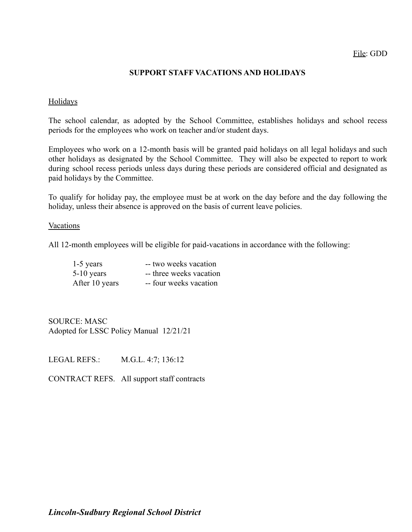### File: GDD

#### **SUPPORT STAFF VACATIONS AND HOLIDAYS**

#### Holidays

The school calendar, as adopted by the School Committee, establishes holidays and school recess periods for the employees who work on teacher and/or student days.

Employees who work on a 12-month basis will be granted paid holidays on all legal holidays and such other holidays as designated by the School Committee. They will also be expected to report to work during school recess periods unless days during these periods are considered official and designated as paid holidays by the Committee.

To qualify for holiday pay, the employee must be at work on the day before and the day following the holiday, unless their absence is approved on the basis of current leave policies.

#### Vacations

All 12-month employees will be eligible for paid-vacations in accordance with the following:

| $1-5$ years    | -- two weeks vacation   |
|----------------|-------------------------|
| $5-10$ years   | -- three weeks vacation |
| After 10 years | -- four weeks vacation  |

SOURCE: MASC Adopted for LSSC Policy Manual 12/21/21

LEGAL REFS.: M.G.L. 4:7; 136:12

CONTRACT REFS. All support staff contracts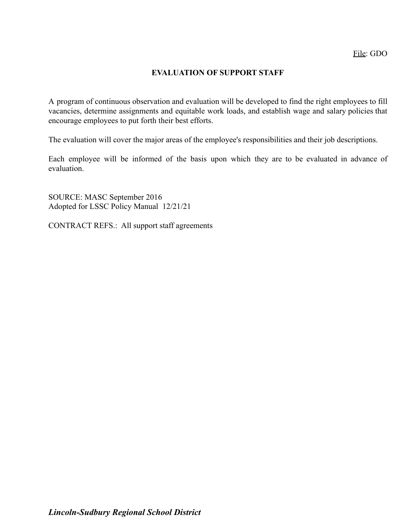## **EVALUATION OF SUPPORT STAFF**

A program of continuous observation and evaluation will be developed to find the right employees to fill vacancies, determine assignments and equitable work loads, and establish wage and salary policies that encourage employees to put forth their best efforts.

The evaluation will cover the major areas of the employee's responsibilities and their job descriptions.

Each employee will be informed of the basis upon which they are to be evaluated in advance of evaluation.

SOURCE: MASC September 2016 Adopted for LSSC Policy Manual 12/21/21

CONTRACT REFS.: All support staff agreements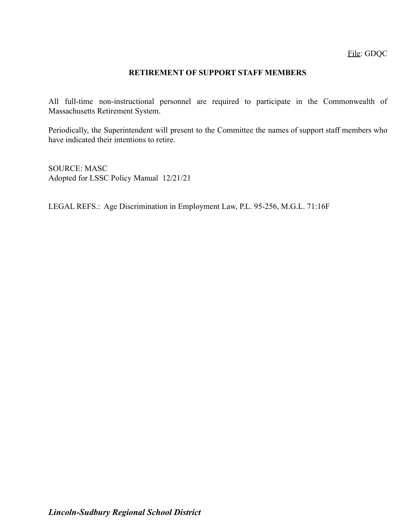File: GDQC

### **RETIREMENT OF SUPPORT STAFF MEMBERS**

All full-time non-instructional personnel are required to participate in the Commonwealth of Massachusetts Retirement System.

Periodically, the Superintendent will present to the Committee the names of support staff members who have indicated their intentions to retire.

SOURCE: MASC Adopted for LSSC Policy Manual 12/21/21

LEGAL REFS.: Age Discrimination in Employment Law, P.L. 95-256, M.G.L. 71:16F